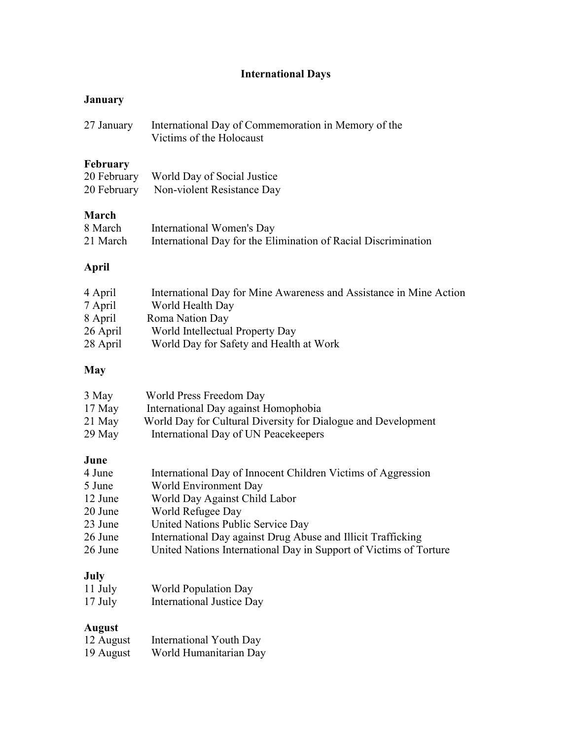# **International Days**

# **January**

| 27 January | International Day of Commemoration in Memory of the |
|------------|-----------------------------------------------------|
|            | Victims of the Holocaust                            |

## **February**

| 20 February | World Day of Social Justice |
|-------------|-----------------------------|
| 20 February | Non-violent Resistance Day  |

## **March**

| 8 March  | International Women's Day                                      |
|----------|----------------------------------------------------------------|
| 21 March | International Day for the Elimination of Racial Discrimination |

# **April**

| 4 April  | International Day for Mine Awareness and Assistance in Mine Action |
|----------|--------------------------------------------------------------------|
| 7 April  | World Health Day                                                   |
| 8 April  | Roma Nation Day                                                    |
| 26 April | World Intellectual Property Day                                    |
| 28 April | World Day for Safety and Health at Work                            |
|          |                                                                    |

# **May**

| 3 May    | World Press Freedom Day                                       |
|----------|---------------------------------------------------------------|
| $17$ May | International Day against Homophobia                          |
| 21 May   | World Day for Cultural Diversity for Dialogue and Development |
| $29$ May | International Day of UN Peacekeepers                          |

## **June**

| 4 June  | International Day of Innocent Children Victims of Aggression      |
|---------|-------------------------------------------------------------------|
| 5 June  | World Environment Day                                             |
| 12 June | World Day Against Child Labor                                     |
| 20 June | World Refugee Day                                                 |
| 23 June | United Nations Public Service Day                                 |
| 26 June | International Day against Drug Abuse and Illicit Trafficking      |
| 26 June | United Nations International Day in Support of Victims of Torture |
|         |                                                                   |

# **July**

| 11 July | <b>World Population Day</b>      |
|---------|----------------------------------|
| 17 July | <b>International Justice Day</b> |

## **August**

| 12 August | International Youth Day |
|-----------|-------------------------|
| 19 August | World Humanitarian Day  |